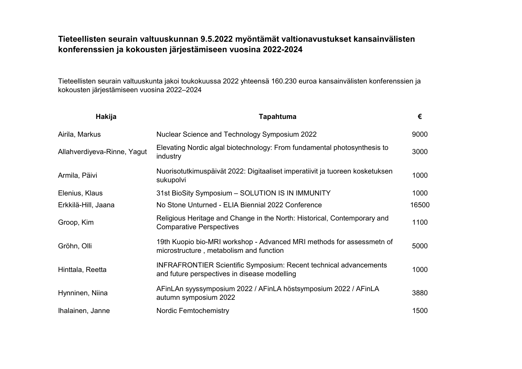## Tieteellisten seurain valtuuskunnan 9.5.2022 myöntämät valtionavustukset kansainvälisten konferenssien ja kokousten järjestämiseen vuosina 2022-2024

Tieteellisten seurain valtuuskunta jakoi toukokuussa 2022 yhteensä 160.230 euroa kansainvälisten konferenssien ja kokousten järjestämiseen vuosina 2022–2024

| Hakija                      | <b>Tapahtuma</b>                                                                                                         | €     |
|-----------------------------|--------------------------------------------------------------------------------------------------------------------------|-------|
| Airila, Markus              | Nuclear Science and Technology Symposium 2022                                                                            | 9000  |
| Allahverdiyeva-Rinne, Yagut | Elevating Nordic algal biotechnology: From fundamental photosynthesis to<br>industry                                     | 3000  |
| Armila, Päivi               | Nuorisotutkimuspäivät 2022: Digitaaliset imperatiivit ja tuoreen kosketuksen<br>sukupolvi                                | 1000  |
| Elenius, Klaus              | 31st BioSity Symposium - SOLUTION IS IN IMMUNITY                                                                         | 1000  |
| Erkkilä-Hill, Jaana         | No Stone Unturned - ELIA Biennial 2022 Conference                                                                        | 16500 |
| Groop, Kim                  | Religious Heritage and Change in the North: Historical, Contemporary and<br><b>Comparative Perspectives</b>              | 1100  |
| Gröhn, Olli                 | 19th Kuopio bio-MRI workshop - Advanced MRI methods for assessmetn of<br>microstructure, metabolism and function         | 5000  |
| Hinttala, Reetta            | <b>INFRAFRONTIER Scientific Symposium: Recent technical advancements</b><br>and future perspectives in disease modelling | 1000  |
| Hynninen, Niina             | AFinLAn syyssymposium 2022 / AFinLA höstsymposium 2022 / AFinLA<br>autumn symposium 2022                                 | 3880  |
| Ihalainen, Janne            | <b>Nordic Femtochemistry</b>                                                                                             | 1500  |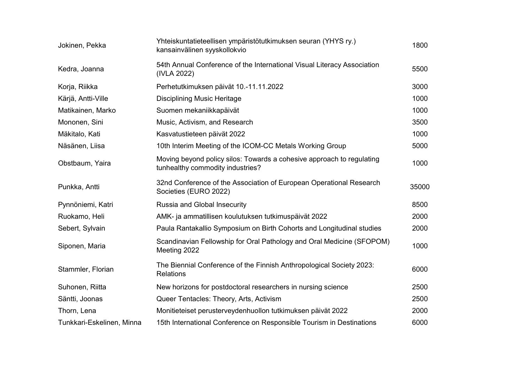| Jokinen, Pekka            | Yhteiskuntatieteellisen ympäristötutkimuksen seuran (YHYS ry.)<br>kansainvälinen syyskollokvio            | 1800  |
|---------------------------|-----------------------------------------------------------------------------------------------------------|-------|
| Kedra, Joanna             | 54th Annual Conference of the International Visual Literacy Association<br>(IVLA 2022)                    | 5500  |
| Korja, Riikka             | Perhetutkimuksen päivät 10.-11.11.2022                                                                    | 3000  |
| Kärjä, Antti-Ville        | <b>Disciplining Music Heritage</b>                                                                        | 1000  |
| Matikainen, Marko         | Suomen mekaniikkapäivät                                                                                   | 1000  |
| Mononen, Sini             | Music, Activism, and Research                                                                             | 3500  |
| Mäkitalo, Kati            | Kasvatustieteen päivät 2022                                                                               | 1000  |
| Näsänen, Liisa            | 10th Interim Meeting of the ICOM-CC Metals Working Group                                                  | 5000  |
| Obstbaum, Yaira           | Moving beyond policy silos: Towards a cohesive approach to regulating<br>tunhealthy commodity industries? | 1000  |
| Punkka, Antti             | 32nd Conference of the Association of European Operational Research<br>Societies (EURO 2022)              | 35000 |
| Pynnöniemi, Katri         | Russia and Global Insecurity                                                                              | 8500  |
| Ruokamo, Heli             | AMK- ja ammatillisen koulutuksen tutkimuspäivät 2022                                                      | 2000  |
| Sebert, Sylvain           | Paula Rantakallio Symposium on Birth Cohorts and Longitudinal studies                                     | 2000  |
| Siponen, Maria            | Scandinavian Fellowship for Oral Pathology and Oral Medicine (SFOPOM)<br>Meeting 2022                     | 1000  |
| Stammler, Florian         | The Biennial Conference of the Finnish Anthropological Society 2023:<br><b>Relations</b>                  | 6000  |
| Suhonen, Riitta           | New horizons for postdoctoral researchers in nursing science                                              | 2500  |
| Säntti, Joonas            | Queer Tentacles: Theory, Arts, Activism                                                                   | 2500  |
| Thorn, Lena               | Monitieteiset perusterveydenhuollon tutkimuksen päivät 2022                                               | 2000  |
| Tunkkari-Eskelinen, Minna | 15th International Conference on Responsible Tourism in Destinations                                      | 6000  |